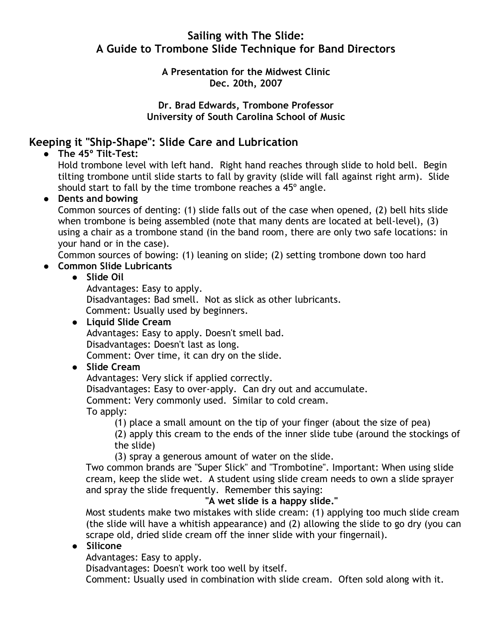# Sailing with The Slide: A Guide to Trombone Slide Technique for Band Directors

#### A Presentation for the Midwest Clinic Dec. 20th, 2007

#### Dr. Brad Edwards, Trombone Professor University of South Carolina School of Music

# Keeping it "Ship-Shape": Slide Care and Lubrication

• The 45° Tilt-Test:

Hold trombone level with left hand. Right hand reaches through slide to hold bell. Begin tilting trombone until slide starts to fall by gravity (slide will fall against right arm). Slide should start to fall by the time trombone reaches a 45º angle.

### • Dents and bowing

Common sources of denting: (1) slide falls out of the case when opened, (2) bell hits slide when trombone is being assembled (note that many dents are located at bell-level), (3) using a chair as a trombone stand (in the band room, there are only two safe locations: in your hand or in the case).

Common sources of bowing: (1) leaning on slide; (2) setting trombone down too hard

Common Slide Lubricants

### Slide Oil

Advantages: Easy to apply. Disadvantages: Bad smell. Not as slick as other lubricants. Comment: Usually used by beginners.

 Liquid Slide Cream Advantages: Easy to apply. Doesn't smell bad. Disadvantages: Doesn't last as long. Comment: Over time, it can dry on the slide.

# Slide Cream

Advantages: Very slick if applied correctly.

Disadvantages: Easy to over-apply. Can dry out and accumulate.

Comment: Very commonly used. Similar to cold cream.

### To apply:

(1) place a small amount on the tip of your finger (about the size of pea)

(2) apply this cream to the ends of the inner slide tube (around the stockings of the slide)

(3) spray a generous amount of water on the slide.

Two common brands are "Super Slick" and "Trombotine". Important: When using slide cream, keep the slide wet. A student using slide cream needs to own a slide sprayer and spray the slide frequently. Remember this saying:

### "A wet slide is a happy slide."

Most students make two mistakes with slide cream: (1) applying too much slide cream (the slide will have a whitish appearance) and (2) allowing the slide to go dry (you can scrape old, dried slide cream off the inner slide with your fingernail).

### Silicone

Advantages: Easy to apply.

Disadvantages: Doesn't work too well by itself.

Comment: Usually used in combination with slide cream. Often sold along with it.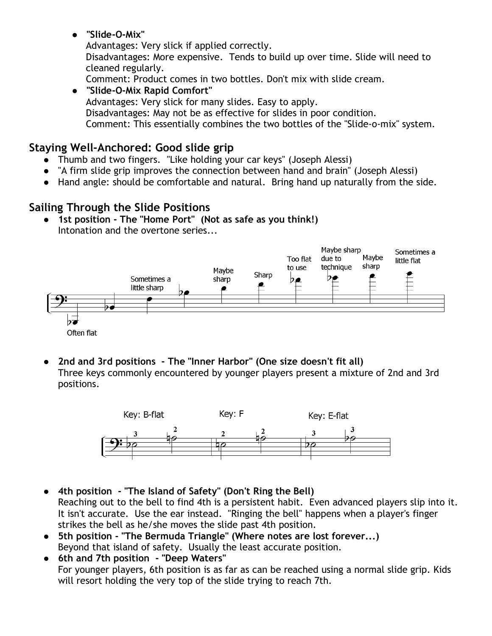"Slide-O-Mix"

Advantages: Very slick if applied correctly.

Disadvantages: More expensive. Tends to build up over time. Slide will need to cleaned regularly.

Comment: Product comes in two bottles. Don't mix with slide cream.

#### "Slide-O-Mix Rapid Comfort" Advantages: Very slick for many slides. Easy to apply. Disadvantages: May not be as effective for slides in poor condition. Comment: This essentially combines the two bottles of the "Slide-o-mix" system.

# Staying Well-Anchored: Good slide grip

- Thumb and two fingers. "Like holding your car keys" (Joseph Alessi)
- "A firm slide grip improves the connection between hand and brain" (Joseph Alessi)
- Hand angle: should be comfortable and natural. Bring hand up naturally from the side.

# Sailing Through the Slide Positions

• 1st position - The "Home Port" (Not as safe as you think!) Intonation and the overtone series...



 2nd and 3rd positions - The "Inner Harbor" (One size doesn't fit all) Three keys commonly encountered by younger players present a mixture of 2nd and 3rd positions.



- 4th position "The Island of Safety" (Don't Ring the Bell) Reaching out to the bell to find 4th is a persistent habit. Even advanced players slip into it. It isn't accurate. Use the ear instead. "Ringing the bell" happens when a player's finger strikes the bell as he/she moves the slide past 4th position.
- 5th position "The Bermuda Triangle" (Where notes are lost forever...) Beyond that island of safety. Usually the least accurate position.
- 6th and 7th position "Deep Waters" For younger players, 6th position is as far as can be reached using a normal slide grip. Kids will resort holding the very top of the slide trying to reach 7th.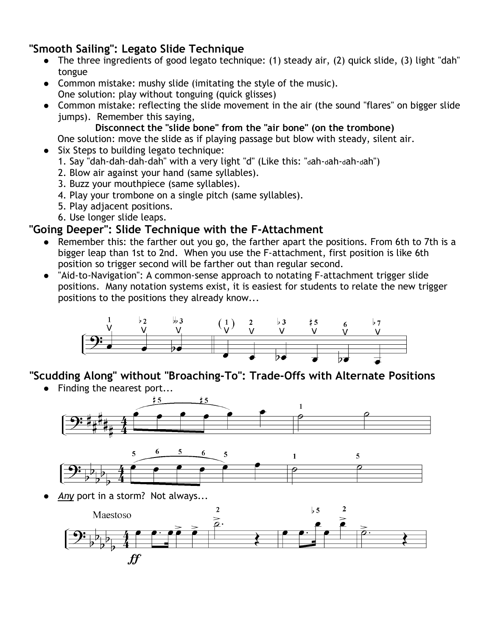# "Smooth Sailing": Legato Slide Technique

- The three ingredients of good legato technique: (1) steady air, (2) quick slide, (3) light "dah" tongue
- Common mistake: mushy slide (imitating the style of the music). One solution: play without tonguing (quick glisses)
- Common mistake: reflecting the slide movement in the air (the sound "flares" on bigger slide jumps). Remember this saying,
	- Disconnect the "slide bone" from the "air bone" (on the trombone)

One solution: move the slide as if playing passage but blow with steady, silent air.

- Six Steps to building legato technique:
	- 1. Say "dah-dah-dah-dah" with a very light "d" (Like this: "dah-dah-dah-dah")
	- 2. Blow air against your hand (same syllables).
	- 3. Buzz your mouthpiece (same syllables).
	- 4. Play your trombone on a single pitch (same syllables).
	- 5. Play adjacent positions.
	- 6. Use longer slide leaps.

# "Going Deeper": Slide Technique with the F-Attachment

- Remember this: the farther out you go, the farther apart the positions. From 6th to 7th is a bigger leap than 1st to 2nd. When you use the F-attachment, first position is like 6th position so trigger second will be farther out than regular second.
- "Aid-to-Navigation": A common-sense approach to notating F-attachment trigger slide positions. Many notation systems exist, it is easiest for students to relate the new trigger positions to the positions they already know...



"Scudding Along" without "Broaching-To": Trade-Offs with Alternate Positions

• Finding the nearest port...





Any port in a storm? Not always...

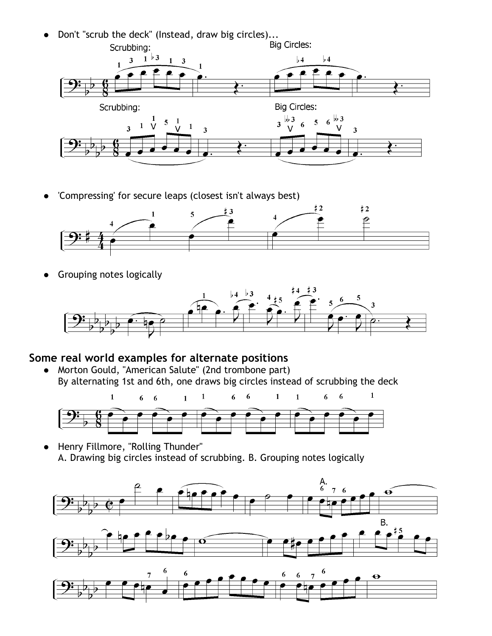- Don't "scrub the deck" (Instead, draw big circles)...<br>Scrubbing: Scrubbing Scrubbing:  $1\overline{)3}$  $\frac{1}{2}$  $3<sup>1</sup>$  $\frac{1}{2}$  $\mathbf{1}$  $\overline{\mathbf{3}}$ Scrubbing: **Big Circles:**  $\begin{array}{ccccc} & 1 & 5 & 1 \\ 1 & \sqrt{5} & \sqrt{5} & \sqrt{5} & \sqrt{5} & \sqrt{5} & \sqrt{5} & \sqrt{5} & \sqrt{5} & \sqrt{5} & \sqrt{5} & \sqrt{5} & \sqrt{5} & \sqrt{5} & \sqrt{5} & \sqrt{5} & \sqrt{5} & \sqrt{5} & \sqrt{5} & \sqrt{5} & \sqrt{5} & \sqrt{5} & \sqrt{5} & \sqrt{5} & \sqrt{5} & \sqrt{5} & \sqrt{5} & \sqrt{5} & \sqrt{5} & \sqrt{5} & \sqrt{5} & \sqrt{5} & \sqrt{5} & \sqrt{5} & \$  $3\frac{1}{16}$  $5\quad 6\frac{^{11}}{^{11}}$  $\overline{6}$  $\overline{3}$  $\blacksquare$  $\overline{\mathbf{3}}$  $\overline{\mathbf{3}}$
- 'Compressing' for secure leaps (closest isn't always best)



• Grouping notes logically



# Some real world examples for alternate positions

 Morton Gould, "American Salute" (2nd trombone part) By alternating 1st and 6th, one draws big circles instead of scrubbing the deck



 Henry Fillmore, "Rolling Thunder" A. Drawing big circles instead of scrubbing. B. Grouping notes logically

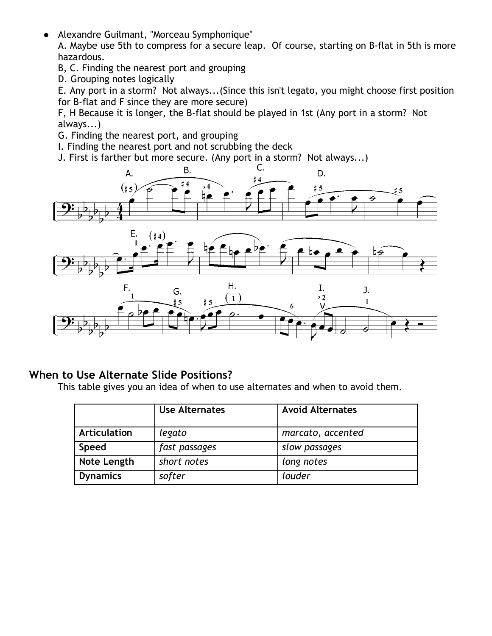- Alexandre Guilmant, "Morceau Symphonique" A. Maybe use 5th to compress for a secure leap. Of course, starting on B-flat in 5th is more hazardous.
	- B, C. Finding the nearest port and grouping
	- D. Grouping notes logically

E. Any port in a storm? Not always...(Since this isn't legato, you might choose first position for B-flat and F since they are more secure)

F, H Because it is longer, the B-flat should be played in 1st (Any port in a storm? Not always...)

- G. Finding the nearest port, and grouping
- I. Finding the nearest port and not scrubbing the deck
- J. First is farther but more secure. (Any port in a storm? Not always...)<br>C.



# When to Use Alternate Slide Positions?

This table gives you an idea of when to use alternates and when to avoid them.

|                     | <b>Use Alternates</b> | <b>Avoid Alternates</b> |
|---------------------|-----------------------|-------------------------|
| <b>Articulation</b> | legato                | marcato, accented       |
| <b>Speed</b>        | fast passages         | slow passages           |
| Note Length         | short notes           | long notes              |
| <b>Dynamics</b>     | softer                | louder                  |